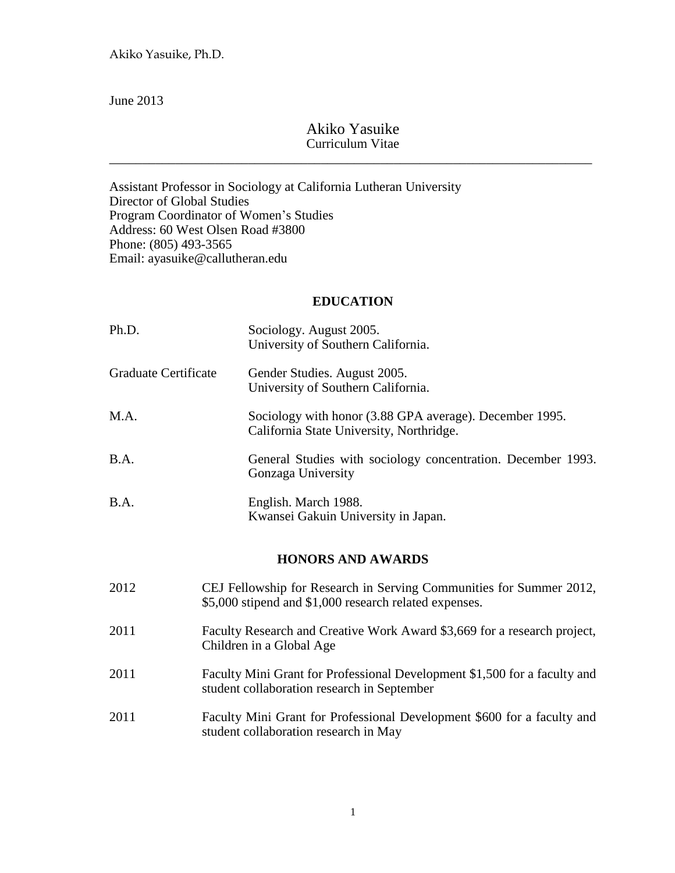June 2013

## Akiko Yasuike Curriculum Vitae

\_\_\_\_\_\_\_\_\_\_\_\_\_\_\_\_\_\_\_\_\_\_\_\_\_\_\_\_\_\_\_\_\_\_\_\_\_\_\_\_\_\_\_\_\_\_\_\_\_\_\_\_\_\_\_\_\_\_\_\_\_\_\_\_\_\_\_\_\_\_\_\_\_

Assistant Professor in Sociology at California Lutheran University Director of Global Studies Program Coordinator of Women's Studies Address: 60 West Olsen Road #3800 Phone: (805) 493-3565 Email: ayasuike@callutheran.edu

### **EDUCATION**

| Ph.D.                | Sociology. August 2005.<br>University of Southern California.                                                                 |
|----------------------|-------------------------------------------------------------------------------------------------------------------------------|
| Graduate Certificate | Gender Studies. August 2005.<br>University of Southern California.                                                            |
| M.A.                 | Sociology with honor (3.88 GPA average). December 1995.<br>California State University, Northridge.                           |
| B.A.                 | General Studies with sociology concentration. December 1993.<br>Gonzaga University                                            |
| B.A.                 | English. March 1988.<br>Kwansei Gakuin University in Japan.                                                                   |
|                      | <b>HONORS AND AWARDS</b>                                                                                                      |
| 2012                 | CEJ Fellowship for Research in Serving Communities for Summer 2012,<br>\$5,000 stipend and \$1,000 research related expenses. |
| 2011                 | Faculty Research and Creative Work Award \$3,669 for a research project,<br>Children in a Global Age                          |
| 2011                 | Faculty Mini Grant for Professional Development \$1,500 for a faculty and<br>student collaboration research in September      |
| 2011                 | Faculty Mini Grant for Professional Development \$600 for a faculty and<br>student collaboration research in May              |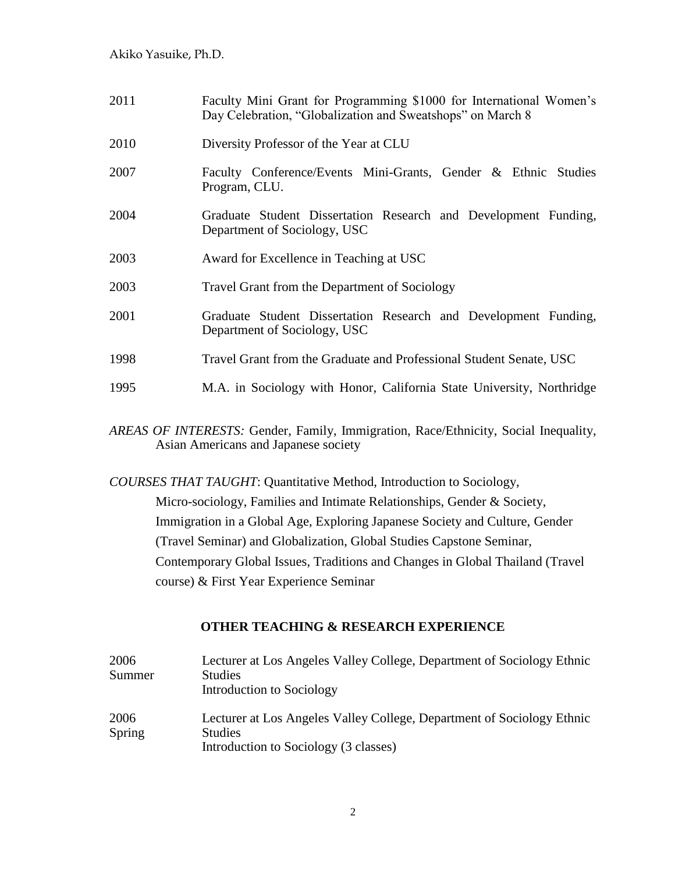| 2011 | Faculty Mini Grant for Programming \$1000 for International Women's<br>Day Celebration, "Globalization and Sweatshops" on March 8 |
|------|-----------------------------------------------------------------------------------------------------------------------------------|
| 2010 | Diversity Professor of the Year at CLU                                                                                            |
| 2007 | Faculty Conference/Events Mini-Grants, Gender & Ethnic Studies<br>Program, CLU.                                                   |
| 2004 | Graduate Student Dissertation Research and Development Funding,<br>Department of Sociology, USC                                   |
| 2003 | Award for Excellence in Teaching at USC                                                                                           |
| 2003 | Travel Grant from the Department of Sociology                                                                                     |
| 2001 | Graduate Student Dissertation Research and Development Funding,<br>Department of Sociology, USC                                   |
| 1998 | Travel Grant from the Graduate and Professional Student Senate, USC                                                               |
| 1995 | M.A. in Sociology with Honor, California State University, Northridge                                                             |
|      |                                                                                                                                   |

*AREAS OF INTERESTS:* Gender, Family, Immigration, Race/Ethnicity, Social Inequality, Asian Americans and Japanese society

*COURSES THAT TAUGHT*: Quantitative Method, Introduction to Sociology,

Micro-sociology, Families and Intimate Relationships, Gender & Society, Immigration in a Global Age, Exploring Japanese Society and Culture, Gender (Travel Seminar) and Globalization, Global Studies Capstone Seminar, Contemporary Global Issues, Traditions and Changes in Global Thailand (Travel course) & First Year Experience Seminar

### **OTHER TEACHING & RESEARCH EXPERIENCE**

| 2006<br>Summer | Lecturer at Los Angeles Valley College, Department of Sociology Ethnic<br><b>Studies</b><br>Introduction to Sociology             |
|----------------|-----------------------------------------------------------------------------------------------------------------------------------|
| 2006<br>Spring | Lecturer at Los Angeles Valley College, Department of Sociology Ethnic<br><b>Studies</b><br>Introduction to Sociology (3 classes) |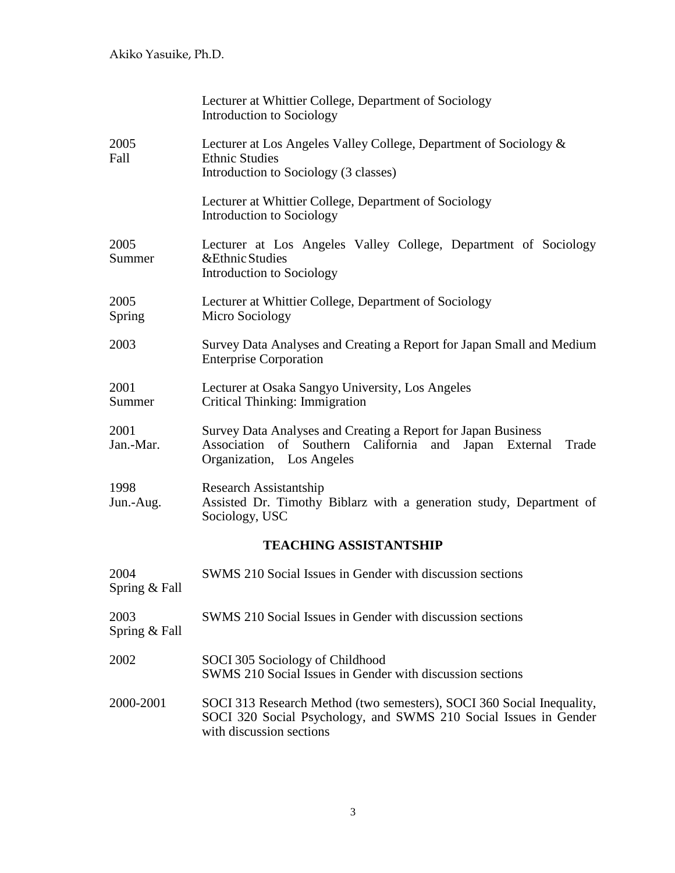|                               | Lecturer at Whittier College, Department of Sociology<br>Introduction to Sociology                                                                                    |  |
|-------------------------------|-----------------------------------------------------------------------------------------------------------------------------------------------------------------------|--|
| 2005<br>Fall                  | Lecturer at Los Angeles Valley College, Department of Sociology &<br><b>Ethnic Studies</b><br>Introduction to Sociology (3 classes)                                   |  |
|                               | Lecturer at Whittier College, Department of Sociology<br>Introduction to Sociology                                                                                    |  |
| 2005<br>Summer                | Lecturer at Los Angeles Valley College, Department of Sociology<br>&Ethnic Studies<br>Introduction to Sociology                                                       |  |
| 2005<br>Spring                | Lecturer at Whittier College, Department of Sociology<br>Micro Sociology                                                                                              |  |
| 2003                          | Survey Data Analyses and Creating a Report for Japan Small and Medium<br><b>Enterprise Corporation</b>                                                                |  |
| 2001<br>Summer                | Lecturer at Osaka Sangyo University, Los Angeles<br>Critical Thinking: Immigration                                                                                    |  |
| 2001<br>Jan.-Mar.             | Survey Data Analyses and Creating a Report for Japan Business<br>Association of Southern California and Japan External<br>Trade<br>Organization, Los Angeles          |  |
| 1998<br>Jun.-Aug.             | Research Assistantship<br>Assisted Dr. Timothy Biblarz with a generation study, Department of<br>Sociology, USC                                                       |  |
| <b>TEACHING ASSISTANTSHIP</b> |                                                                                                                                                                       |  |
| 2004<br>Spring & Fall         | SWMS 210 Social Issues in Gender with discussion sections                                                                                                             |  |
| 2003<br>Spring & Fall         | SWMS 210 Social Issues in Gender with discussion sections                                                                                                             |  |
| 2002                          | SOCI 305 Sociology of Childhood<br>SWMS 210 Social Issues in Gender with discussion sections                                                                          |  |
| 2000-2001                     | SOCI 313 Research Method (two semesters), SOCI 360 Social Inequality,<br>SOCI 320 Social Psychology, and SWMS 210 Social Issues in Gender<br>with discussion sections |  |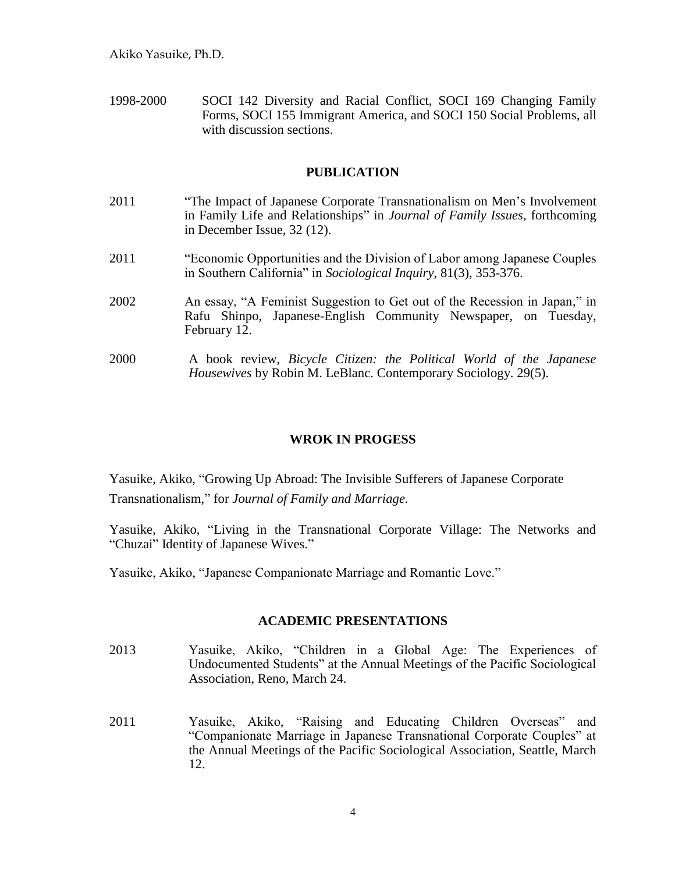1998-2000 SOCI 142 Diversity and Racial Conflict, SOCI 169 Changing Family Forms, SOCI 155 Immigrant America, and SOCI 150 Social Problems, all with discussion sections.

### **PUBLICATION**

- 2011 "The Impact of Japanese Corporate Transnationalism on Men's Involvement in Family Life and Relationships" in *Journal of Family Issues*, forthcoming in December Issue, 32 (12). 2011 "Economic Opportunities and the Division of Labor among Japanese Couples in Southern California" in *Sociological Inquiry*, 81(3), 353-376.
- 2002 An essay, "A Feminist Suggestion to Get out of the Recession in Japan," in Rafu Shinpo, Japanese-English Community Newspaper, on Tuesday, February 12.
- 2000 A book review, *Bicycle Citizen: the Political World of the Japanese Housewives* by Robin M. LeBlanc. Contemporary Sociology. 29(5).

### **WROK IN PROGESS**

Yasuike, Akiko, "Growing Up Abroad: The Invisible Sufferers of Japanese Corporate Transnationalism," for *Journal of Family and Marriage.*

Yasuike, Akiko, "Living in the Transnational Corporate Village: The Networks and "Chuzai" Identity of Japanese Wives."

Yasuike, Akiko, "Japanese Companionate Marriage and Romantic Love."

#### **ACADEMIC PRESENTATIONS**

- 2013 Yasuike, Akiko, "Children in a Global Age: The Experiences of Undocumented Students" at the Annual Meetings of the Pacific Sociological Association, Reno, March 24.
- 2011 Yasuike, Akiko, "Raising and Educating Children Overseas" and "Companionate Marriage in Japanese Transnational Corporate Couples" at the Annual Meetings of the Pacific Sociological Association, Seattle, March 12.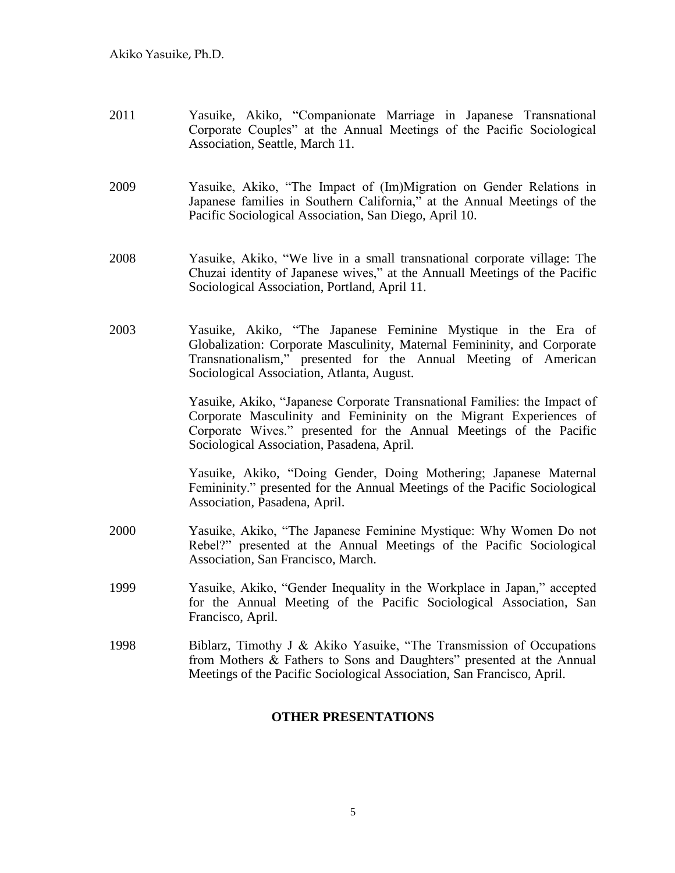- 2011 Yasuike, Akiko, "Companionate Marriage in Japanese Transnational Corporate Couples" at the Annual Meetings of the Pacific Sociological Association, Seattle, March 11.
- 2009 Yasuike, Akiko, "The Impact of (Im)Migration on Gender Relations in Japanese families in Southern California," at the Annual Meetings of the Pacific Sociological Association, San Diego, April 10.
- 2008 Yasuike, Akiko, "We live in a small transnational corporate village: The Chuzai identity of Japanese wives," at the Annuall Meetings of the Pacific Sociological Association, Portland, April 11.
- 2003 Yasuike, Akiko, "The Japanese Feminine Mystique in the Era of Globalization: Corporate Masculinity, Maternal Femininity, and Corporate Transnationalism," presented for the Annual Meeting of American Sociological Association, Atlanta, August.

Yasuike, Akiko, "Japanese Corporate Transnational Families: the Impact of Corporate Masculinity and Femininity on the Migrant Experiences of Corporate Wives." presented for the Annual Meetings of the Pacific Sociological Association, Pasadena, April.

Yasuike, Akiko, "Doing Gender, Doing Mothering; Japanese Maternal Femininity." presented for the Annual Meetings of the Pacific Sociological Association, Pasadena, April.

- 2000 Yasuike, Akiko, "The Japanese Feminine Mystique: Why Women Do not Rebel?" presented at the Annual Meetings of the Pacific Sociological Association, San Francisco, March.
- 1999 Yasuike, Akiko, "Gender Inequality in the Workplace in Japan," accepted for the Annual Meeting of the Pacific Sociological Association, San Francisco, April.
- 1998 Biblarz, Timothy J & Akiko Yasuike, "The Transmission of Occupations from Mothers & Fathers to Sons and Daughters" presented at the Annual Meetings of the Pacific Sociological Association, San Francisco, April.

### **OTHER PRESENTATIONS**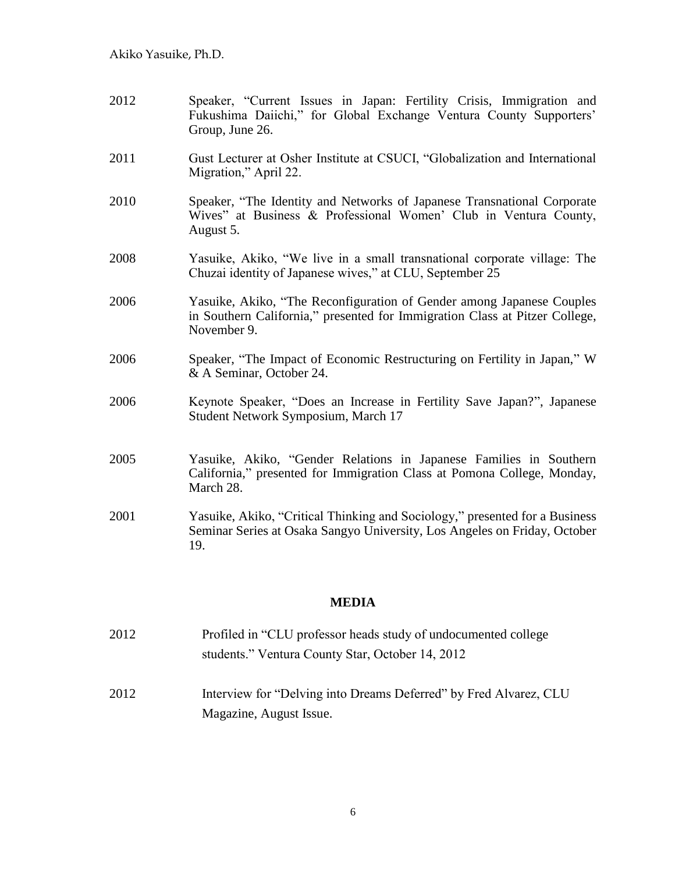- 2012 Speaker, "Current Issues in Japan: Fertility Crisis, Immigration and Fukushima Daiichi," for Global Exchange Ventura County Supporters' Group, June 26.
- 2011 Gust Lecturer at Osher Institute at CSUCI, "Globalization and International Migration," April 22.
- 2010 Speaker, "The Identity and Networks of Japanese Transnational Corporate Wives" at Business & Professional Women' Club in Ventura County, August 5.
- 2008 Yasuike, Akiko, "We live in a small transnational corporate village: The Chuzai identity of Japanese wives," at CLU, September 25
- 2006 Yasuike, Akiko, "The Reconfiguration of Gender among Japanese Couples in Southern California," presented for Immigration Class at Pitzer College, November 9.
- 2006 Speaker, "The Impact of Economic Restructuring on Fertility in Japan," W & A Seminar, October 24.
- 2006 Keynote Speaker, "Does an Increase in Fertility Save Japan?", Japanese Student Network Symposium, March 17
- 2005 Yasuike, Akiko, "Gender Relations in Japanese Families in Southern California," presented for Immigration Class at Pomona College, Monday, March 28.
- 2001 Yasuike, Akiko, "Critical Thinking and Sociology," presented for a Business Seminar Series at Osaka Sangyo University, Los Angeles on Friday, October 19.

### **MEDIA**

- 2012 Profiled in "CLU professor heads study of undocumented college students." Ventura County Star, October 14, 2012
- 2012 Interview for "Delving into Dreams Deferred" by Fred Alvarez, CLU Magazine, August Issue.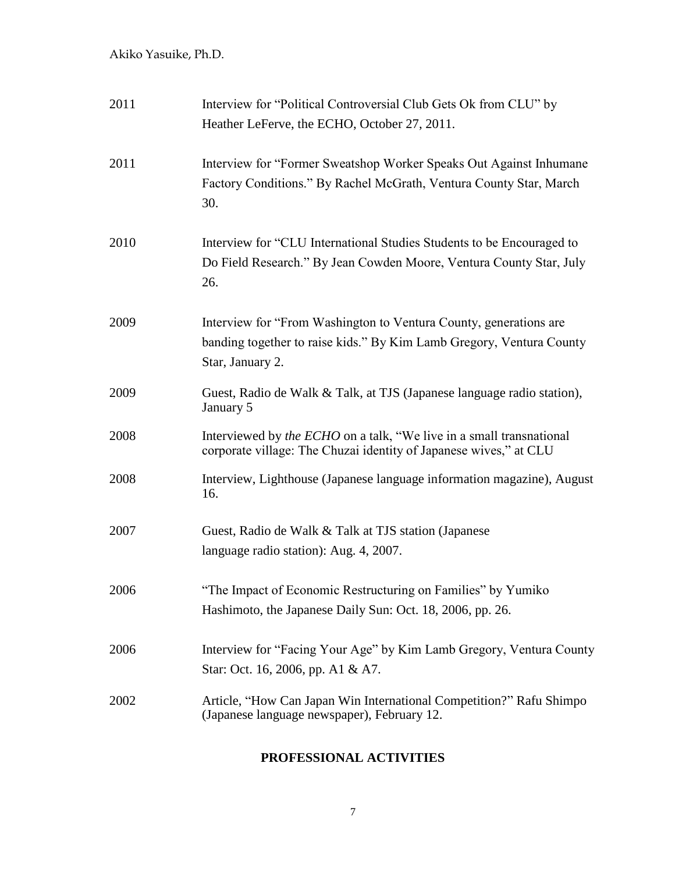| 2011 | Interview for "Political Controversial Club Gets Ok from CLU" by<br>Heather LeFerve, the ECHO, October 27, 2011.                                               |
|------|----------------------------------------------------------------------------------------------------------------------------------------------------------------|
| 2011 | Interview for "Former Sweatshop Worker Speaks Out Against Inhumane<br>Factory Conditions." By Rachel McGrath, Ventura County Star, March<br>30.                |
| 2010 | Interview for "CLU International Studies Students to be Encouraged to<br>Do Field Research." By Jean Cowden Moore, Ventura County Star, July<br>26.            |
| 2009 | Interview for "From Washington to Ventura County, generations are.<br>banding together to raise kids." By Kim Lamb Gregory, Ventura County<br>Star, January 2. |
| 2009 | Guest, Radio de Walk & Talk, at TJS (Japanese language radio station),<br>January 5                                                                            |
| 2008 | Interviewed by the ECHO on a talk, "We live in a small transnational<br>corporate village: The Chuzai identity of Japanese wives," at CLU                      |
| 2008 | Interview, Lighthouse (Japanese language information magazine), August<br>16.                                                                                  |
| 2007 | Guest, Radio de Walk & Talk at TJS station (Japanese)<br>language radio station): Aug. 4, 2007.                                                                |
| 2006 | "The Impact of Economic Restructuring on Families" by Yumiko<br>Hashimoto, the Japanese Daily Sun: Oct. 18, 2006, pp. 26.                                      |
| 2006 | Interview for "Facing Your Age" by Kim Lamb Gregory, Ventura County<br>Star: Oct. 16, 2006, pp. A1 & A7.                                                       |
| 2002 | Article, "How Can Japan Win International Competition?" Rafu Shimpo<br>(Japanese language newspaper), February 12.                                             |

# **PROFESSIONAL ACTIVITIES**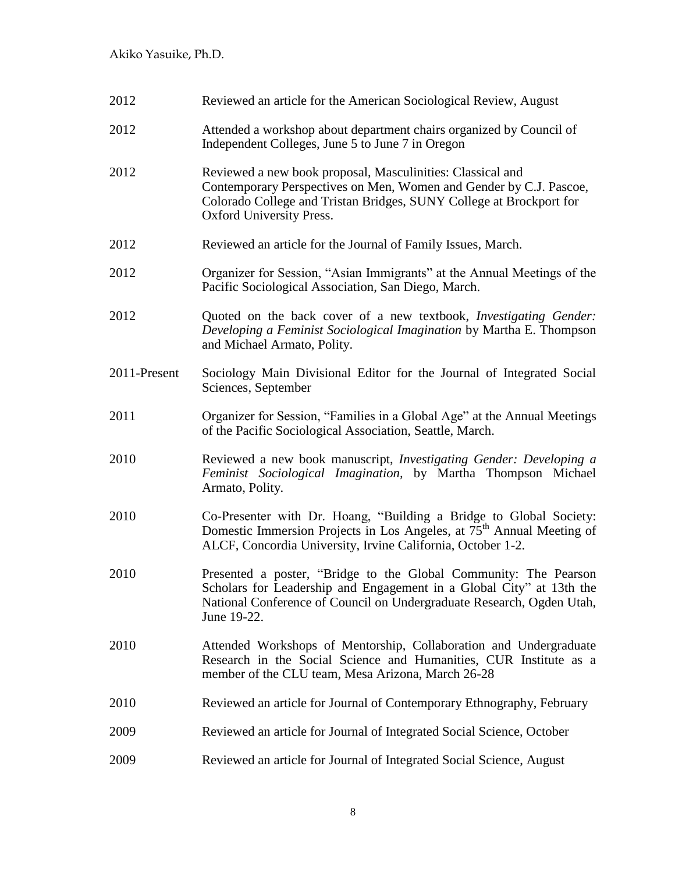| 2012         | Reviewed an article for the American Sociological Review, August                                                                                                                                                                           |
|--------------|--------------------------------------------------------------------------------------------------------------------------------------------------------------------------------------------------------------------------------------------|
| 2012         | Attended a workshop about department chairs organized by Council of<br>Independent Colleges, June 5 to June 7 in Oregon                                                                                                                    |
| 2012         | Reviewed a new book proposal, Masculinities: Classical and<br>Contemporary Perspectives on Men, Women and Gender by C.J. Pascoe,<br>Colorado College and Tristan Bridges, SUNY College at Brockport for<br><b>Oxford University Press.</b> |
| 2012         | Reviewed an article for the Journal of Family Issues, March.                                                                                                                                                                               |
| 2012         | Organizer for Session, "Asian Immigrants" at the Annual Meetings of the<br>Pacific Sociological Association, San Diego, March.                                                                                                             |
| 2012         | Quoted on the back cover of a new textbook, Investigating Gender:<br>Developing a Feminist Sociological Imagination by Martha E. Thompson<br>and Michael Armato, Polity.                                                                   |
| 2011-Present | Sociology Main Divisional Editor for the Journal of Integrated Social<br>Sciences, September                                                                                                                                               |
| 2011         | Organizer for Session, "Families in a Global Age" at the Annual Meetings<br>of the Pacific Sociological Association, Seattle, March.                                                                                                       |
| 2010         | Reviewed a new book manuscript, Investigating Gender: Developing a<br>Feminist Sociological Imagination, by Martha Thompson Michael<br>Armato, Polity.                                                                                     |
| 2010         | Co-Presenter with Dr. Hoang, "Building a Bridge to Global Society:<br>Domestic Immersion Projects in Los Angeles, at 75 <sup>th</sup> Annual Meeting of<br>ALCF, Concordia University, Irvine California, October 1-2.                     |
| 2010         | Presented a poster, "Bridge to the Global Community: The Pearson<br>Scholars for Leadership and Engagement in a Global City" at 13th the<br>National Conference of Council on Undergraduate Research, Ogden Utah,<br>June 19-22.           |
| 2010         | Attended Workshops of Mentorship, Collaboration and Undergraduate<br>Research in the Social Science and Humanities, CUR Institute as a<br>member of the CLU team, Mesa Arizona, March 26-28                                                |
| 2010         | Reviewed an article for Journal of Contemporary Ethnography, February                                                                                                                                                                      |
| 2009         | Reviewed an article for Journal of Integrated Social Science, October                                                                                                                                                                      |
| 2009         | Reviewed an article for Journal of Integrated Social Science, August                                                                                                                                                                       |
|              |                                                                                                                                                                                                                                            |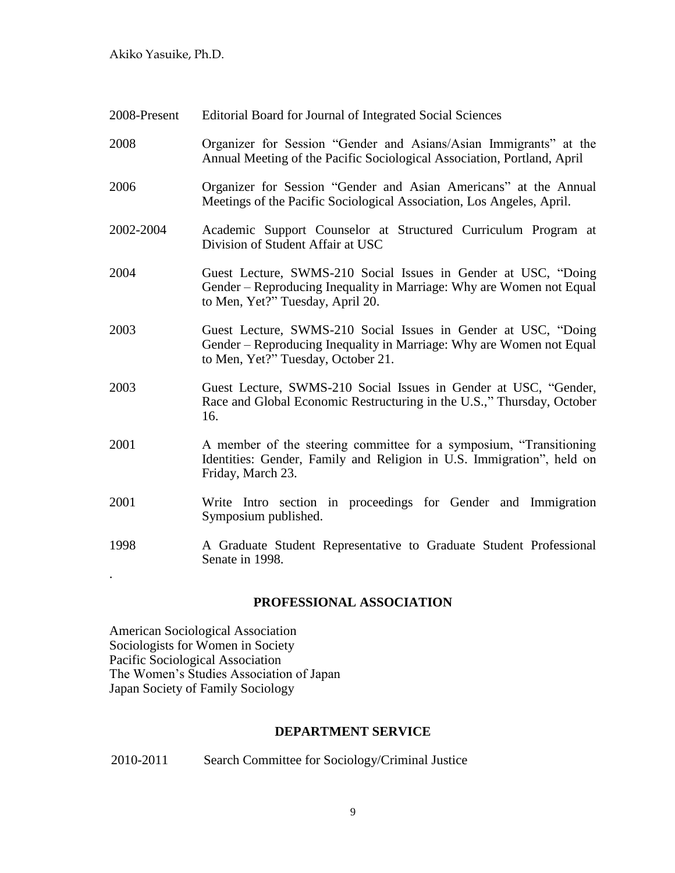| 2008-Present | Editorial Board for Journal of Integrated Social Sciences                                                                                                                    |
|--------------|------------------------------------------------------------------------------------------------------------------------------------------------------------------------------|
| 2008         | Organizer for Session "Gender and Asians/Asian Immigrants" at the<br>Annual Meeting of the Pacific Sociological Association, Portland, April                                 |
| 2006         | Organizer for Session "Gender and Asian Americans" at the Annual<br>Meetings of the Pacific Sociological Association, Los Angeles, April.                                    |
| 2002-2004    | Academic Support Counselor at Structured Curriculum Program at<br>Division of Student Affair at USC                                                                          |
| 2004         | Guest Lecture, SWMS-210 Social Issues in Gender at USC, "Doing<br>Gender – Reproducing Inequality in Marriage: Why are Women not Equal<br>to Men, Yet?" Tuesday, April 20.   |
| 2003         | Guest Lecture, SWMS-210 Social Issues in Gender at USC, "Doing<br>Gender – Reproducing Inequality in Marriage: Why are Women not Equal<br>to Men, Yet?" Tuesday, October 21. |
| 2003         | Guest Lecture, SWMS-210 Social Issues in Gender at USC, "Gender,<br>Race and Global Economic Restructuring in the U.S.," Thursday, October<br>16.                            |
| 2001         | A member of the steering committee for a symposium, "Transitioning<br>Identities: Gender, Family and Religion in U.S. Immigration", held on<br>Friday, March 23.             |
| 2001         | Write Intro section in proceedings for Gender and Immigration<br>Symposium published.                                                                                        |
| 1998         | A Graduate Student Representative to Graduate Student Professional<br>Senate in 1998.                                                                                        |
|              |                                                                                                                                                                              |

### **PROFESSIONAL ASSOCIATION**

American Sociological Association Sociologists for Women in Society Pacific Sociological Association The Women's Studies Association of Japan Japan Society of Family Sociology

### **DEPARTMENT SERVICE**

| 2010-2011 | Search Committee for Sociology/Criminal Justice |
|-----------|-------------------------------------------------|
|-----------|-------------------------------------------------|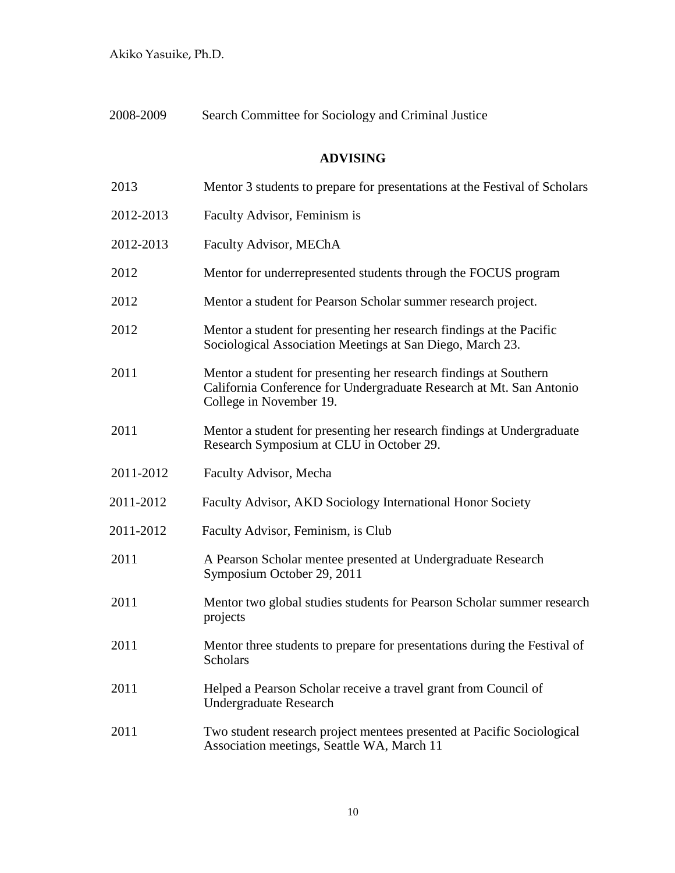2008-2009 Search Committee for Sociology and Criminal Justice

# **ADVISING**

| 2013      | Mentor 3 students to prepare for presentations at the Festival of Scholars                                                                                          |
|-----------|---------------------------------------------------------------------------------------------------------------------------------------------------------------------|
| 2012-2013 | Faculty Advisor, Feminism is                                                                                                                                        |
| 2012-2013 | Faculty Advisor, MEChA                                                                                                                                              |
| 2012      | Mentor for underrepresented students through the FOCUS program                                                                                                      |
| 2012      | Mentor a student for Pearson Scholar summer research project.                                                                                                       |
| 2012      | Mentor a student for presenting her research findings at the Pacific<br>Sociological Association Meetings at San Diego, March 23.                                   |
| 2011      | Mentor a student for presenting her research findings at Southern<br>California Conference for Undergraduate Research at Mt. San Antonio<br>College in November 19. |
| 2011      | Mentor a student for presenting her research findings at Undergraduate<br>Research Symposium at CLU in October 29.                                                  |
| 2011-2012 | Faculty Advisor, Mecha                                                                                                                                              |
| 2011-2012 | Faculty Advisor, AKD Sociology International Honor Society                                                                                                          |
| 2011-2012 | Faculty Advisor, Feminism, is Club                                                                                                                                  |
| 2011      | A Pearson Scholar mentee presented at Undergraduate Research<br>Symposium October 29, 2011                                                                          |
| 2011      | Mentor two global studies students for Pearson Scholar summer research<br>projects                                                                                  |
| 2011      | Mentor three students to prepare for presentations during the Festival of<br><b>Scholars</b>                                                                        |
| 2011      | Helped a Pearson Scholar receive a travel grant from Council of<br><b>Undergraduate Research</b>                                                                    |
| 2011      | Two student research project mentees presented at Pacific Sociological<br>Association meetings, Seattle WA, March 11                                                |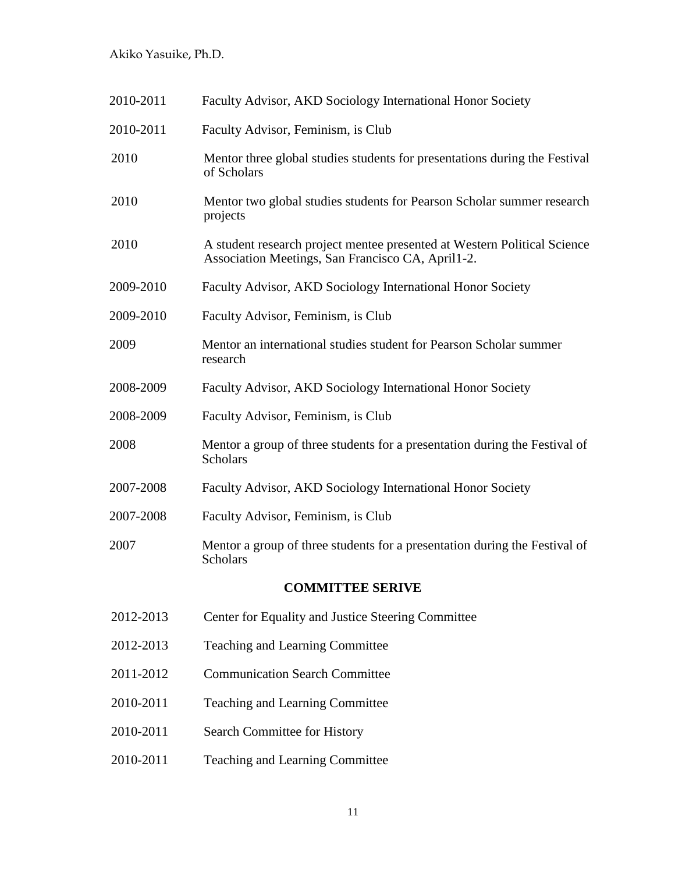| 2010-2011               | Faculty Advisor, AKD Sociology International Honor Society                                                                    |
|-------------------------|-------------------------------------------------------------------------------------------------------------------------------|
| 2010-2011               | Faculty Advisor, Feminism, is Club                                                                                            |
| 2010                    | Mentor three global studies students for presentations during the Festival<br>of Scholars                                     |
| 2010                    | Mentor two global studies students for Pearson Scholar summer research<br>projects                                            |
| 2010                    | A student research project mentee presented at Western Political Science<br>Association Meetings, San Francisco CA, April1-2. |
| 2009-2010               | Faculty Advisor, AKD Sociology International Honor Society                                                                    |
| 2009-2010               | Faculty Advisor, Feminism, is Club                                                                                            |
| 2009                    | Mentor an international studies student for Pearson Scholar summer<br>research                                                |
| 2008-2009               | Faculty Advisor, AKD Sociology International Honor Society                                                                    |
| 2008-2009               | Faculty Advisor, Feminism, is Club                                                                                            |
| 2008                    | Mentor a group of three students for a presentation during the Festival of<br><b>Scholars</b>                                 |
| 2007-2008               | Faculty Advisor, AKD Sociology International Honor Society                                                                    |
| 2007-2008               | Faculty Advisor, Feminism, is Club                                                                                            |
| 2007                    | Mentor a group of three students for a presentation during the Festival of<br><b>Scholars</b>                                 |
| <b>COMMITTEE SERIVE</b> |                                                                                                                               |
| 2012-2013               | Center for Equality and Justice Steering Committee                                                                            |
| 2012-2013               | Teaching and Learning Committee                                                                                               |
| 2011-2012               | <b>Communication Search Committee</b>                                                                                         |

- 2010-2011 Teaching and Learning Committee
- 2010-2011 Search Committee for History
- 2010-2011 Teaching and Learning Committee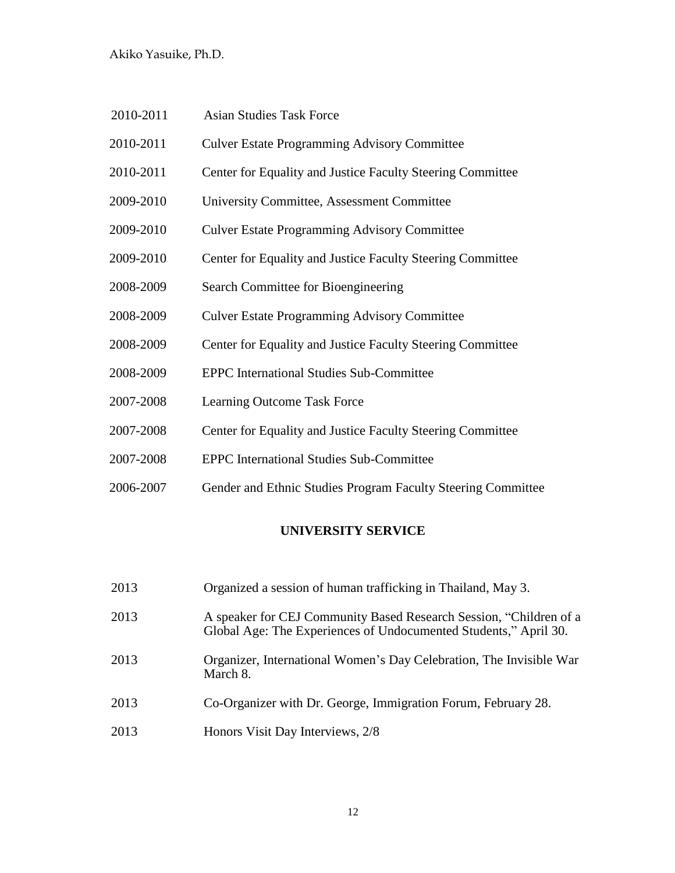| 2010-2011 | <b>Asian Studies Task Force</b>                              |
|-----------|--------------------------------------------------------------|
| 2010-2011 | <b>Culver Estate Programming Advisory Committee</b>          |
| 2010-2011 | Center for Equality and Justice Faculty Steering Committee   |
| 2009-2010 | University Committee, Assessment Committee                   |
| 2009-2010 | <b>Culver Estate Programming Advisory Committee</b>          |
| 2009-2010 | Center for Equality and Justice Faculty Steering Committee   |
| 2008-2009 | Search Committee for Bioengineering                          |
| 2008-2009 | <b>Culver Estate Programming Advisory Committee</b>          |
| 2008-2009 | Center for Equality and Justice Faculty Steering Committee   |
| 2008-2009 | <b>EPPC</b> International Studies Sub-Committee              |
| 2007-2008 | Learning Outcome Task Force                                  |
| 2007-2008 | Center for Equality and Justice Faculty Steering Committee   |
| 2007-2008 | <b>EPPC</b> International Studies Sub-Committee              |
| 2006-2007 | Gender and Ethnic Studies Program Faculty Steering Committee |

# **UNIVERSITY SERVICE**

| 2013 | Organized a session of human trafficking in Thailand, May 3.                                                                           |
|------|----------------------------------------------------------------------------------------------------------------------------------------|
| 2013 | A speaker for CEJ Community Based Research Session, "Children of a<br>Global Age: The Experiences of Undocumented Students," April 30. |
| 2013 | Organizer, International Women's Day Celebration, The Invisible War<br>March 8.                                                        |
| 2013 | Co-Organizer with Dr. George, Immigration Forum, February 28.                                                                          |
| 2013 | Honors Visit Day Interviews, 2/8                                                                                                       |
|      |                                                                                                                                        |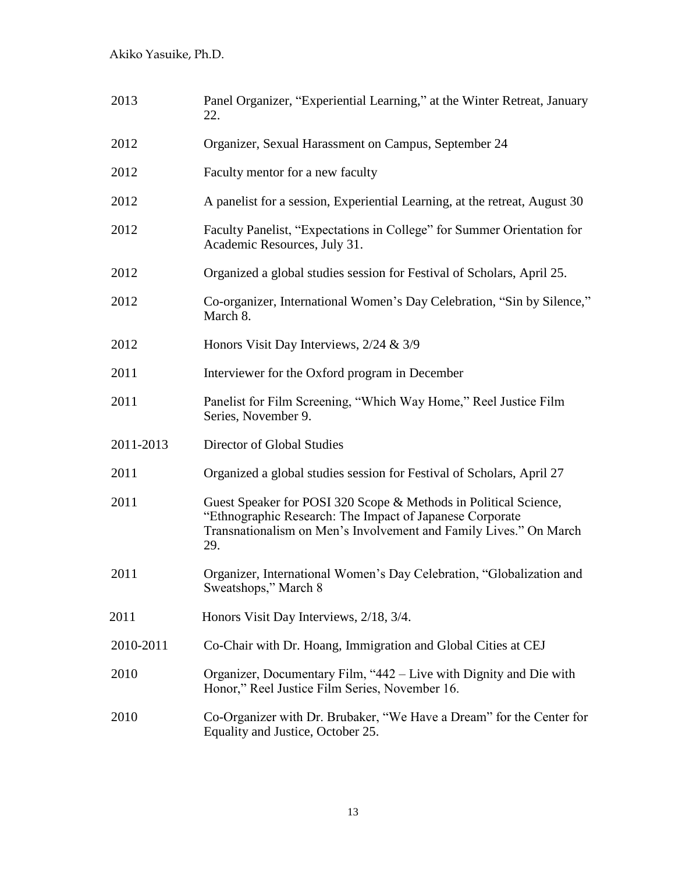| 2013      | Panel Organizer, "Experiential Learning," at the Winter Retreat, January<br>22.                                                                                                                          |
|-----------|----------------------------------------------------------------------------------------------------------------------------------------------------------------------------------------------------------|
| 2012      | Organizer, Sexual Harassment on Campus, September 24                                                                                                                                                     |
| 2012      | Faculty mentor for a new faculty                                                                                                                                                                         |
| 2012      | A panelist for a session, Experiential Learning, at the retreat, August 30                                                                                                                               |
| 2012      | Faculty Panelist, "Expectations in College" for Summer Orientation for<br>Academic Resources, July 31.                                                                                                   |
| 2012      | Organized a global studies session for Festival of Scholars, April 25.                                                                                                                                   |
| 2012      | Co-organizer, International Women's Day Celebration, "Sin by Silence,"<br>March 8.                                                                                                                       |
| 2012      | Honors Visit Day Interviews, $2/24 \& 3/9$                                                                                                                                                               |
| 2011      | Interviewer for the Oxford program in December                                                                                                                                                           |
| 2011      | Panelist for Film Screening, "Which Way Home," Reel Justice Film<br>Series, November 9.                                                                                                                  |
| 2011-2013 | Director of Global Studies                                                                                                                                                                               |
| 2011      | Organized a global studies session for Festival of Scholars, April 27                                                                                                                                    |
| 2011      | Guest Speaker for POSI 320 Scope & Methods in Political Science,<br>"Ethnographic Research: The Impact of Japanese Corporate<br>Transnationalism on Men's Involvement and Family Lives." On March<br>29. |
| 2011      | Organizer, International Women's Day Celebration, "Globalization and<br>Sweatshops," March 8                                                                                                             |
| 2011      | Honors Visit Day Interviews, 2/18, 3/4.                                                                                                                                                                  |
| 2010-2011 | Co-Chair with Dr. Hoang, Immigration and Global Cities at CEJ                                                                                                                                            |
| 2010      | Organizer, Documentary Film, "442 – Live with Dignity and Die with<br>Honor," Reel Justice Film Series, November 16.                                                                                     |
| 2010      | Co-Organizer with Dr. Brubaker, "We Have a Dream" for the Center for<br>Equality and Justice, October 25.                                                                                                |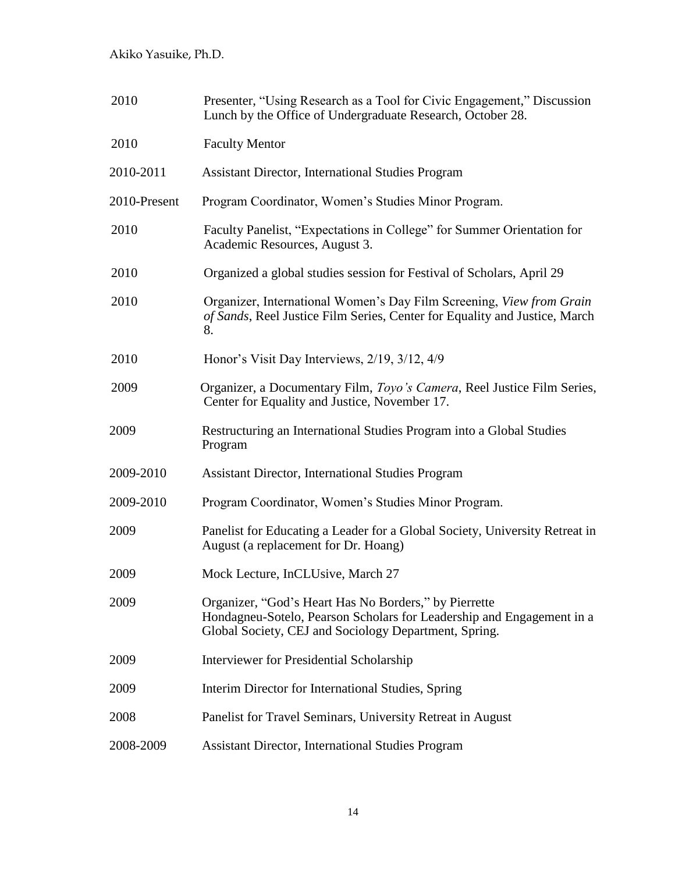| 2010         | Presenter, "Using Research as a Tool for Civic Engagement," Discussion<br>Lunch by the Office of Undergraduate Research, October 28.                                                    |
|--------------|-----------------------------------------------------------------------------------------------------------------------------------------------------------------------------------------|
| 2010         | <b>Faculty Mentor</b>                                                                                                                                                                   |
| 2010-2011    | <b>Assistant Director, International Studies Program</b>                                                                                                                                |
| 2010-Present | Program Coordinator, Women's Studies Minor Program.                                                                                                                                     |
| 2010         | Faculty Panelist, "Expectations in College" for Summer Orientation for<br>Academic Resources, August 3.                                                                                 |
| 2010         | Organized a global studies session for Festival of Scholars, April 29                                                                                                                   |
| 2010         | Organizer, International Women's Day Film Screening, View from Grain<br>of Sands, Reel Justice Film Series, Center for Equality and Justice, March<br>8.                                |
| 2010         | Honor's Visit Day Interviews, 2/19, 3/12, 4/9                                                                                                                                           |
| 2009         | Organizer, a Documentary Film, Toyo's Camera, Reel Justice Film Series,<br>Center for Equality and Justice, November 17.                                                                |
| 2009         | Restructuring an International Studies Program into a Global Studies<br>Program                                                                                                         |
| 2009-2010    | <b>Assistant Director, International Studies Program</b>                                                                                                                                |
| 2009-2010    | Program Coordinator, Women's Studies Minor Program.                                                                                                                                     |
| 2009         | Panelist for Educating a Leader for a Global Society, University Retreat in<br>August (a replacement for Dr. Hoang)                                                                     |
| 2009         | Mock Lecture, InCLUsive, March 27                                                                                                                                                       |
| 2009         | Organizer, "God's Heart Has No Borders," by Pierrette<br>Hondagneu-Sotelo, Pearson Scholars for Leadership and Engagement in a<br>Global Society, CEJ and Sociology Department, Spring. |
| 2009         | Interviewer for Presidential Scholarship                                                                                                                                                |
| 2009         | Interim Director for International Studies, Spring                                                                                                                                      |
| 2008         | Panelist for Travel Seminars, University Retreat in August                                                                                                                              |
| 2008-2009    | <b>Assistant Director, International Studies Program</b>                                                                                                                                |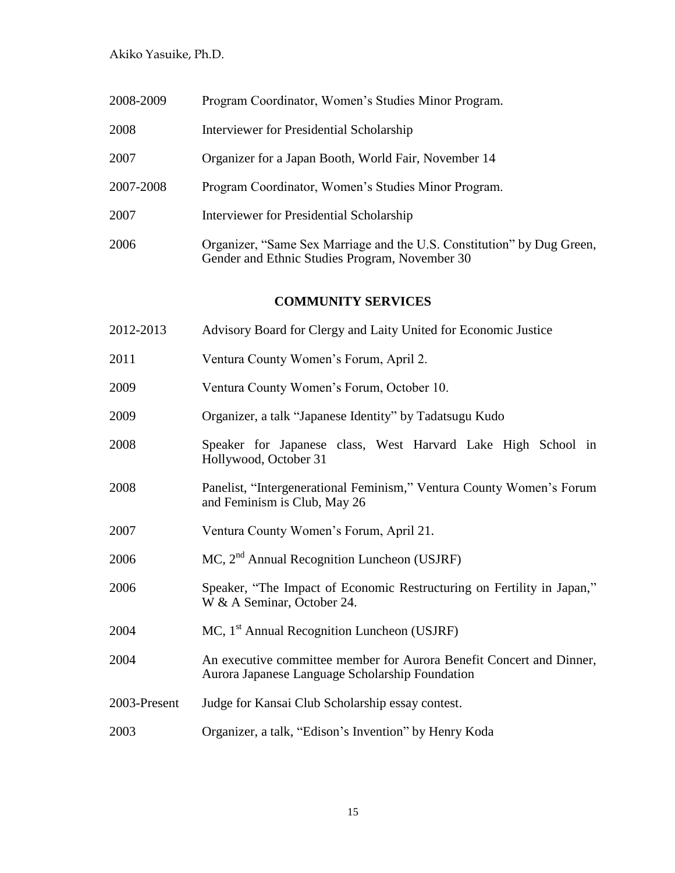| 2008-2009 | Program Coordinator, Women's Studies Minor Program.                                                                      |
|-----------|--------------------------------------------------------------------------------------------------------------------------|
| 2008      | Interviewer for Presidential Scholarship                                                                                 |
| 2007      | Organizer for a Japan Booth, World Fair, November 14                                                                     |
| 2007-2008 | Program Coordinator, Women's Studies Minor Program.                                                                      |
| 2007      | Interviewer for Presidential Scholarship                                                                                 |
| 2006      | Organizer, "Same Sex Marriage and the U.S. Constitution" by Dug Green,<br>Gender and Ethnic Studies Program, November 30 |

# **COMMUNITY SERVICES**

| 2012-2013    | Advisory Board for Clergy and Laity United for Economic Justice                                                         |
|--------------|-------------------------------------------------------------------------------------------------------------------------|
| 2011         | Ventura County Women's Forum, April 2.                                                                                  |
| 2009         | Ventura County Women's Forum, October 10.                                                                               |
| 2009         | Organizer, a talk "Japanese Identity" by Tadatsugu Kudo                                                                 |
| 2008         | Speaker for Japanese class, West Harvard Lake High School in<br>Hollywood, October 31                                   |
| 2008         | Panelist, "Intergenerational Feminism," Ventura County Women's Forum<br>and Feminism is Club, May 26                    |
| 2007         | Ventura County Women's Forum, April 21.                                                                                 |
| 2006         | $MC$ , $2nd$ Annual Recognition Luncheon (USJRF)                                                                        |
| 2006         | Speaker, "The Impact of Economic Restructuring on Fertility in Japan,"<br>W & A Seminar, October 24.                    |
| 2004         | $MC$ , 1 <sup>st</sup> Annual Recognition Luncheon (USJRF)                                                              |
| 2004         | An executive committee member for Aurora Benefit Concert and Dinner,<br>Aurora Japanese Language Scholarship Foundation |
| 2003-Present | Judge for Kansai Club Scholarship essay contest.                                                                        |
| 2003         | Organizer, a talk, "Edison's Invention" by Henry Koda                                                                   |